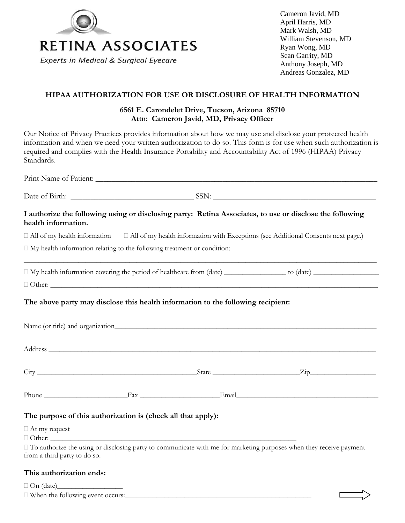

Cameron Javid, MD April Harris, MD Mark Walsh, MD William Stevenson, MD Ryan Wong, MD Sean Garrity, MD Anthony Joseph, MD Andreas Gonzalez, MD

## **HIPAA AUTHORIZATION FOR USE OR DISCLOSURE OF HEALTH INFORMATION**

# **6561 E. Carondelet Drive, Tucson, Arizona 85710 Attn: Cameron Javid, MD, Privacy Officer**

Our Notice of Privacy Practices provides information about how we may use and disclose your protected health information and when we need your written authorization to do so. This form is for use when such authorization is required and complies with the Health Insurance Portability and Accountability Act of 1996 (HIPAA) Privacy Standards.

Print Name of Patient: \_\_\_\_\_\_\_\_\_\_\_\_\_\_\_\_\_\_\_\_\_\_\_\_\_\_\_\_\_\_\_\_\_\_\_\_\_\_\_\_\_\_\_\_\_\_\_\_\_\_\_\_\_\_\_\_\_\_\_\_\_\_\_\_\_\_\_\_\_\_\_

Date of Birth: \_\_\_\_\_\_\_\_\_\_\_\_\_\_\_\_\_\_\_\_\_\_\_\_\_\_\_\_\_\_\_ SSN: \_\_\_\_\_\_\_\_\_\_\_\_\_\_\_\_\_\_\_\_\_\_\_\_\_\_\_\_\_\_\_\_\_\_\_\_\_\_\_\_\_

# **I authorize the following using or disclosing party: Retina Associates, to use or disclose the following health information.**

 $\Box$  All of my health information  $\Box$  All of my health information with Exceptions (see Additional Consents next page.)

 $\Box$  My health information relating to the following treatment or condition:

 My health information covering the period of healthcare from (date) \_\_\_\_\_\_\_\_\_\_\_\_\_\_\_\_\_ to (date) \_\_\_\_\_\_\_\_\_\_\_\_\_\_\_\_\_\_  $\Box$  Other:

\_\_\_\_\_\_\_\_\_\_\_\_\_\_\_\_\_\_\_\_\_\_\_\_\_\_\_\_\_\_\_\_\_\_\_\_\_\_\_\_\_\_\_\_\_\_\_\_\_\_\_\_\_\_\_\_\_\_\_\_\_\_\_\_\_\_\_\_\_\_\_\_\_\_\_\_\_\_\_\_\_\_\_\_\_\_\_\_\_\_\_\_\_\_\_\_\_

# **The above party may disclose this health information to the following recipient:**

|                                                              |  | Phone Fax Email |  |  |  |  |  |
|--------------------------------------------------------------|--|-----------------|--|--|--|--|--|
| The purpose of this authorization is (check all that apply): |  |                 |  |  |  |  |  |

At my request

 $\Box$  Other:

 $\Box$  To authorize the using or disclosing party to communicate with me for marketing purposes when they receive payment from a third party to do so.

## **This authorization ends:**

 $\Box$  On (date)

 $\Box$  When the following event occurs: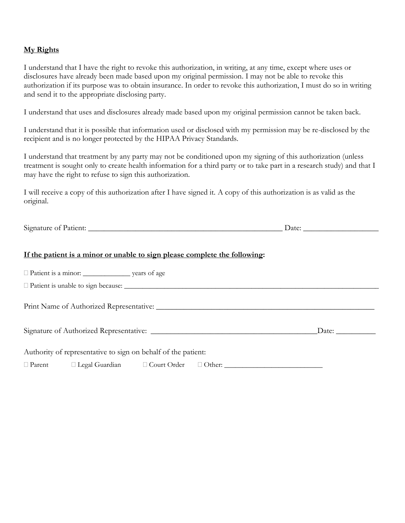## **My Rights**

I understand that I have the right to revoke this authorization, in writing, at any time, except where uses or disclosures have already been made based upon my original permission. I may not be able to revoke this authorization if its purpose was to obtain insurance. In order to revoke this authorization, I must do so in writing and send it to the appropriate disclosing party.

I understand that uses and disclosures already made based upon my original permission cannot be taken back.

I understand that it is possible that information used or disclosed with my permission may be re-disclosed by the recipient and is no longer protected by the HIPAA Privacy Standards.

I understand that treatment by any party may not be conditioned upon my signing of this authorization (unless treatment is sought only to create health information for a third party or to take part in a research study) and that I may have the right to refuse to sign this authorization.

I will receive a copy of this authorization after I have signed it. A copy of this authorization is as valid as the original.

Signature of Patient: \_\_\_\_\_\_\_\_\_\_\_\_\_\_\_\_\_\_\_\_\_\_\_\_\_\_\_\_\_\_\_\_\_\_\_\_\_\_\_\_\_\_\_\_\_\_\_\_\_ Date: \_\_\_\_\_\_\_\_\_\_\_\_\_\_\_\_\_\_\_

#### **If the patient is a minor or unable to sign please complete the following:**

|  | $\Box$ Patient is unable to sign because: $\Box$              |  |  |  |       |  |  |  |
|--|---------------------------------------------------------------|--|--|--|-------|--|--|--|
|  |                                                               |  |  |  |       |  |  |  |
|  |                                                               |  |  |  | Date: |  |  |  |
|  | Authority of representative to sign on behalf of the patient: |  |  |  |       |  |  |  |
|  |                                                               |  |  |  |       |  |  |  |